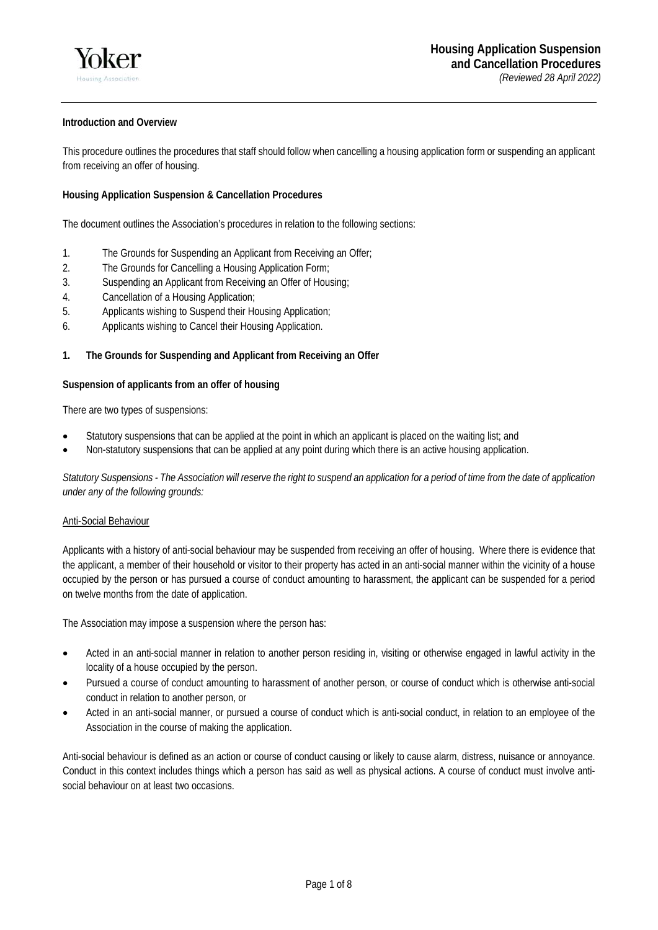# **Introduction and Overview**

This procedure outlines the procedures that staff should follow when cancelling a housing application form or suspending an applicant from receiving an offer of housing.

# **Housing Application Suspension & Cancellation Procedures**

The document outlines the Association's procedures in relation to the following sections:

- 1. The Grounds for Suspending an Applicant from Receiving an Offer;
- 2. The Grounds for Cancelling a Housing Application Form;
- 3. Suspending an Applicant from Receiving an Offer of Housing;
- 4. Cancellation of a Housing Application;
- 5. Applicants wishing to Suspend their Housing Application;
- 6. Applicants wishing to Cancel their Housing Application.

## **1. The Grounds for Suspending and Applicant from Receiving an Offer**

## **Suspension of applicants from an offer of housing**

There are two types of suspensions:

- Statutory suspensions that can be applied at the point in which an applicant is placed on the waiting list; and
- Non-statutory suspensions that can be applied at any point during which there is an active housing application.

*Statutory Suspensions - The Association will reserve the right to suspend an application for a period of time from the date of application under any of the following grounds:* 

## Anti-Social Behaviour

Applicants with a history of anti-social behaviour may be suspended from receiving an offer of housing. Where there is evidence that the applicant, a member of their household or visitor to their property has acted in an anti-social manner within the vicinity of a house occupied by the person or has pursued a course of conduct amounting to harassment, the applicant can be suspended for a period on twelve months from the date of application.

The Association may impose a suspension where the person has:

- Acted in an anti-social manner in relation to another person residing in, visiting or otherwise engaged in lawful activity in the locality of a house occupied by the person.
- Pursued a course of conduct amounting to harassment of another person, or course of conduct which is otherwise anti-social conduct in relation to another person, or
- Acted in an anti-social manner, or pursued a course of conduct which is anti-social conduct, in relation to an employee of the Association in the course of making the application.

Anti-social behaviour is defined as an action or course of conduct causing or likely to cause alarm, distress, nuisance or annoyance. Conduct in this context includes things which a person has said as well as physical actions. A course of conduct must involve antisocial behaviour on at least two occasions.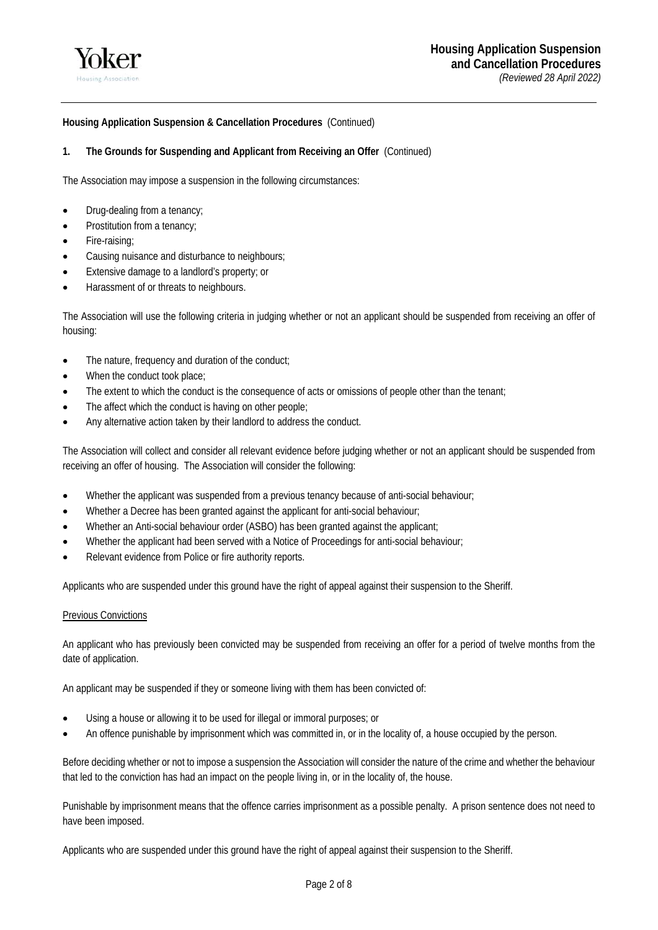

# **1. The Grounds for Suspending and Applicant from Receiving an Offer** (Continued)

The Association may impose a suspension in the following circumstances:

- Drug-dealing from a tenancy;
- Prostitution from a tenancy;
- Fire-raising;
- Causing nuisance and disturbance to neighbours;
- Extensive damage to a landlord's property; or
- Harassment of or threats to neighbours.

The Association will use the following criteria in judging whether or not an applicant should be suspended from receiving an offer of housing:

- The nature, frequency and duration of the conduct;
- When the conduct took place;
- The extent to which the conduct is the consequence of acts or omissions of people other than the tenant;
- The affect which the conduct is having on other people;
- Any alternative action taken by their landlord to address the conduct.

The Association will collect and consider all relevant evidence before judging whether or not an applicant should be suspended from receiving an offer of housing. The Association will consider the following:

- Whether the applicant was suspended from a previous tenancy because of anti-social behaviour;
- Whether a Decree has been granted against the applicant for anti-social behaviour;
- Whether an Anti-social behaviour order (ASBO) has been granted against the applicant;
- Whether the applicant had been served with a Notice of Proceedings for anti-social behaviour;
- Relevant evidence from Police or fire authority reports.

Applicants who are suspended under this ground have the right of appeal against their suspension to the Sheriff.

## Previous Convictions

An applicant who has previously been convicted may be suspended from receiving an offer for a period of twelve months from the date of application.

An applicant may be suspended if they or someone living with them has been convicted of:

- Using a house or allowing it to be used for illegal or immoral purposes; or
- An offence punishable by imprisonment which was committed in, or in the locality of, a house occupied by the person.

Before deciding whether or not to impose a suspension the Association will consider the nature of the crime and whether the behaviour that led to the conviction has had an impact on the people living in, or in the locality of, the house.

Punishable by imprisonment means that the offence carries imprisonment as a possible penalty. A prison sentence does not need to have been imposed.

Applicants who are suspended under this ground have the right of appeal against their suspension to the Sheriff.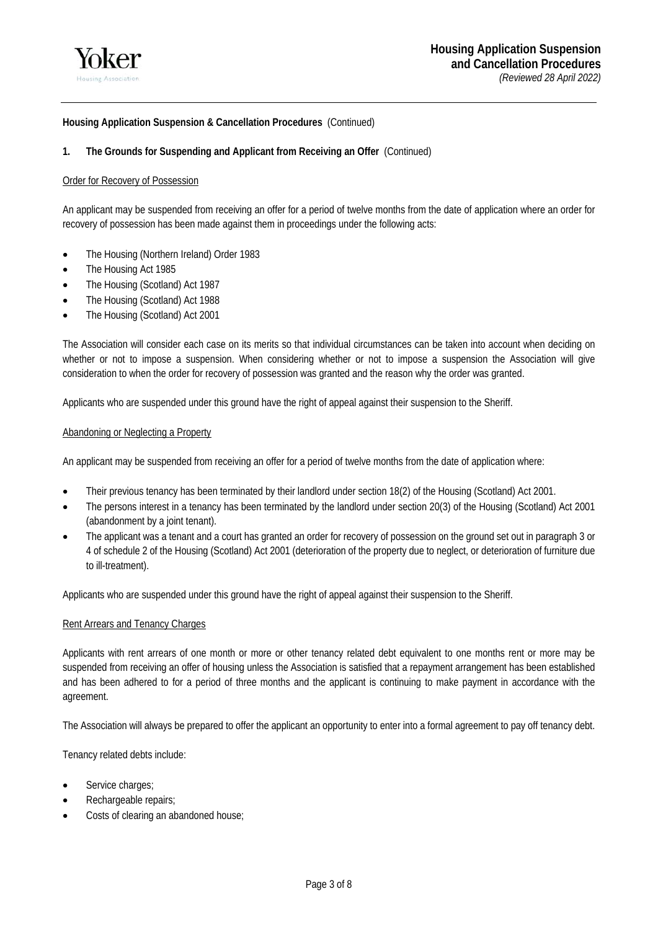

## **1. The Grounds for Suspending and Applicant from Receiving an Offer** (Continued)

### Order for Recovery of Possession

An applicant may be suspended from receiving an offer for a period of twelve months from the date of application where an order for recovery of possession has been made against them in proceedings under the following acts:

- The Housing (Northern Ireland) Order 1983
- The Housing Act 1985
- The Housing (Scotland) Act 1987
- The Housing (Scotland) Act 1988
- The Housing (Scotland) Act 2001

The Association will consider each case on its merits so that individual circumstances can be taken into account when deciding on whether or not to impose a suspension. When considering whether or not to impose a suspension the Association will give consideration to when the order for recovery of possession was granted and the reason why the order was granted.

Applicants who are suspended under this ground have the right of appeal against their suspension to the Sheriff.

### Abandoning or Neglecting a Property

An applicant may be suspended from receiving an offer for a period of twelve months from the date of application where:

- Their previous tenancy has been terminated by their landlord under section 18(2) of the Housing (Scotland) Act 2001.
- The persons interest in a tenancy has been terminated by the landlord under section 20(3) of the Housing (Scotland) Act 2001 (abandonment by a joint tenant).
- The applicant was a tenant and a court has granted an order for recovery of possession on the ground set out in paragraph 3 or 4 of schedule 2 of the Housing (Scotland) Act 2001 (deterioration of the property due to neglect, or deterioration of furniture due to ill-treatment).

Applicants who are suspended under this ground have the right of appeal against their suspension to the Sheriff.

#### Rent Arrears and Tenancy Charges

Applicants with rent arrears of one month or more or other tenancy related debt equivalent to one months rent or more may be suspended from receiving an offer of housing unless the Association is satisfied that a repayment arrangement has been established and has been adhered to for a period of three months and the applicant is continuing to make payment in accordance with the agreement.

The Association will always be prepared to offer the applicant an opportunity to enter into a formal agreement to pay off tenancy debt.

Tenancy related debts include:

- Service charges;
- Rechargeable repairs;
- Costs of clearing an abandoned house;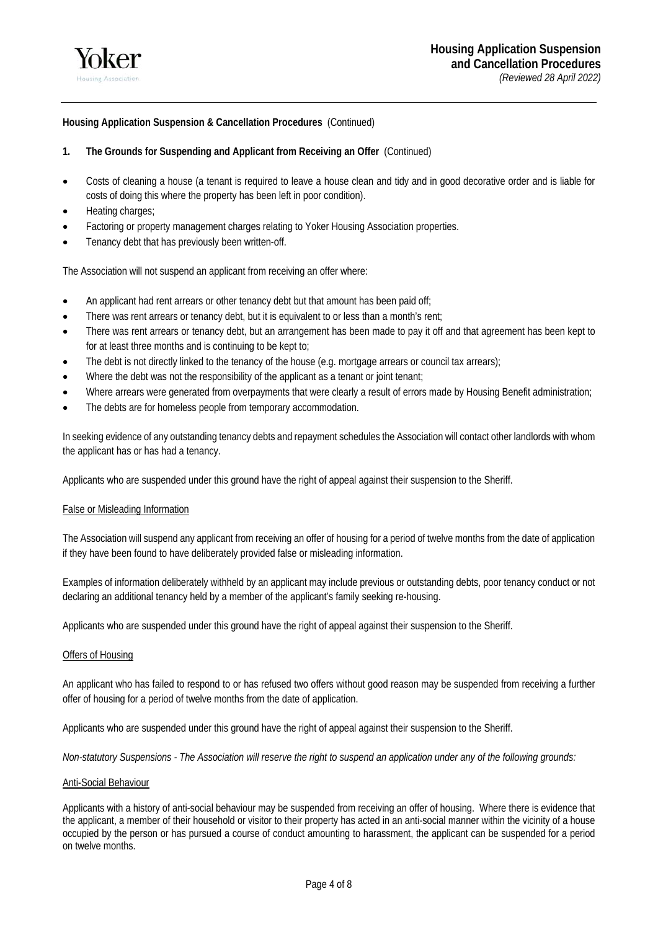

# **1. The Grounds for Suspending and Applicant from Receiving an Offer** (Continued)

- Costs of cleaning a house (a tenant is required to leave a house clean and tidy and in good decorative order and is liable for costs of doing this where the property has been left in poor condition).
- Heating charges;
- Factoring or property management charges relating to Yoker Housing Association properties.
- Tenancy debt that has previously been written-off.

The Association will not suspend an applicant from receiving an offer where:

- An applicant had rent arrears or other tenancy debt but that amount has been paid off;
- There was rent arrears or tenancy debt, but it is equivalent to or less than a month's rent;
- There was rent arrears or tenancy debt, but an arrangement has been made to pay it off and that agreement has been kept to for at least three months and is continuing to be kept to;
- The debt is not directly linked to the tenancy of the house (e.g. mortgage arrears or council tax arrears);
- Where the debt was not the responsibility of the applicant as a tenant or joint tenant;
- Where arrears were generated from overpayments that were clearly a result of errors made by Housing Benefit administration;
- The debts are for homeless people from temporary accommodation.

In seeking evidence of any outstanding tenancy debts and repayment schedules the Association will contact other landlords with whom the applicant has or has had a tenancy.

Applicants who are suspended under this ground have the right of appeal against their suspension to the Sheriff.

## False or Misleading Information

The Association will suspend any applicant from receiving an offer of housing for a period of twelve months from the date of application if they have been found to have deliberately provided false or misleading information.

Examples of information deliberately withheld by an applicant may include previous or outstanding debts, poor tenancy conduct or not declaring an additional tenancy held by a member of the applicant's family seeking re-housing.

Applicants who are suspended under this ground have the right of appeal against their suspension to the Sheriff.

#### Offers of Housing

An applicant who has failed to respond to or has refused two offers without good reason may be suspended from receiving a further offer of housing for a period of twelve months from the date of application.

Applicants who are suspended under this ground have the right of appeal against their suspension to the Sheriff.

*Non-statutory Suspensions - The Association will reserve the right to suspend an application under any of the following grounds:* 

## Anti-Social Behaviour

Applicants with a history of anti-social behaviour may be suspended from receiving an offer of housing. Where there is evidence that the applicant, a member of their household or visitor to their property has acted in an anti-social manner within the vicinity of a house occupied by the person or has pursued a course of conduct amounting to harassment, the applicant can be suspended for a period on twelve months.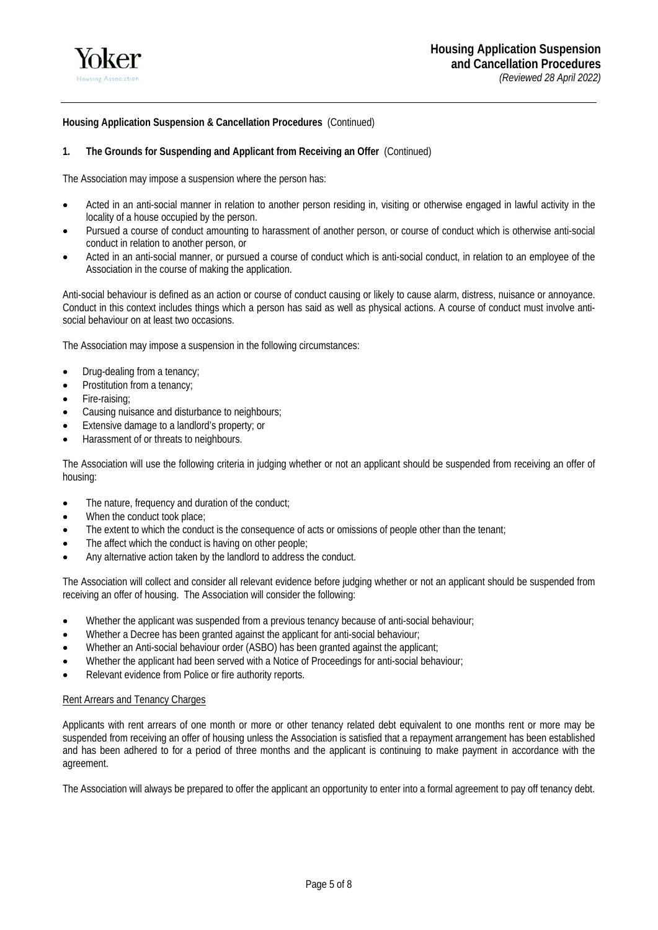

## **1. The Grounds for Suspending and Applicant from Receiving an Offer** (Continued)

The Association may impose a suspension where the person has:

- Acted in an anti-social manner in relation to another person residing in, visiting or otherwise engaged in lawful activity in the locality of a house occupied by the person.
- Pursued a course of conduct amounting to harassment of another person, or course of conduct which is otherwise anti-social conduct in relation to another person, or
- Acted in an anti-social manner, or pursued a course of conduct which is anti-social conduct, in relation to an employee of the Association in the course of making the application.

Anti-social behaviour is defined as an action or course of conduct causing or likely to cause alarm, distress, nuisance or annoyance. Conduct in this context includes things which a person has said as well as physical actions. A course of conduct must involve antisocial behaviour on at least two occasions.

The Association may impose a suspension in the following circumstances:

- Drug-dealing from a tenancy;
- Prostitution from a tenancy;
- Fire-raising;
- Causing nuisance and disturbance to neighbours;
- Extensive damage to a landlord's property; or
- Harassment of or threats to neighbours.

The Association will use the following criteria in judging whether or not an applicant should be suspended from receiving an offer of housing:

- The nature, frequency and duration of the conduct;
- When the conduct took place;
- The extent to which the conduct is the consequence of acts or omissions of people other than the tenant;
- The affect which the conduct is having on other people;
- Any alternative action taken by the landlord to address the conduct.

The Association will collect and consider all relevant evidence before judging whether or not an applicant should be suspended from receiving an offer of housing. The Association will consider the following:

- Whether the applicant was suspended from a previous tenancy because of anti-social behaviour;
- Whether a Decree has been granted against the applicant for anti-social behaviour;
- Whether an Anti-social behaviour order (ASBO) has been granted against the applicant;
- Whether the applicant had been served with a Notice of Proceedings for anti-social behaviour;
- Relevant evidence from Police or fire authority reports.

#### Rent Arrears and Tenancy Charges

Applicants with rent arrears of one month or more or other tenancy related debt equivalent to one months rent or more may be suspended from receiving an offer of housing unless the Association is satisfied that a repayment arrangement has been established and has been adhered to for a period of three months and the applicant is continuing to make payment in accordance with the agreement.

The Association will always be prepared to offer the applicant an opportunity to enter into a formal agreement to pay off tenancy debt.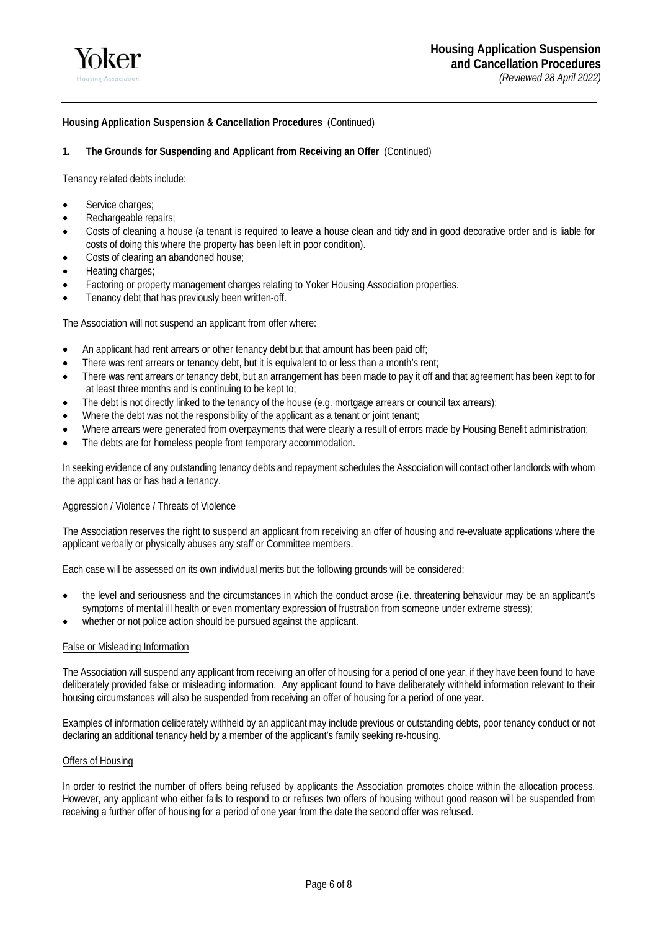

## **1. The Grounds for Suspending and Applicant from Receiving an Offer** (Continued)

Tenancy related debts include:

- Service charges;
- Rechargeable repairs;
- Costs of cleaning a house (a tenant is required to leave a house clean and tidy and in good decorative order and is liable for costs of doing this where the property has been left in poor condition).
- Costs of clearing an abandoned house;
- Heating charges;
- Factoring or property management charges relating to Yoker Housing Association properties.
- Tenancy debt that has previously been written-off.

The Association will not suspend an applicant from offer where:

- An applicant had rent arrears or other tenancy debt but that amount has been paid off;
- There was rent arrears or tenancy debt, but it is equivalent to or less than a month's rent;
- There was rent arrears or tenancy debt, but an arrangement has been made to pay it off and that agreement has been kept to for at least three months and is continuing to be kept to;
- The debt is not directly linked to the tenancy of the house (e.g. mortgage arrears or council tax arrears);
- Where the debt was not the responsibility of the applicant as a tenant or joint tenant;
- Where arrears were generated from overpayments that were clearly a result of errors made by Housing Benefit administration;
- The debts are for homeless people from temporary accommodation.

In seeking evidence of any outstanding tenancy debts and repayment schedules the Association will contact other landlords with whom the applicant has or has had a tenancy.

## Aggression / Violence / Threats of Violence

The Association reserves the right to suspend an applicant from receiving an offer of housing and re-evaluate applications where the applicant verbally or physically abuses any staff or Committee members.

Each case will be assessed on its own individual merits but the following grounds will be considered:

- the level and seriousness and the circumstances in which the conduct arose (i.e. threatening behaviour may be an applicant's symptoms of mental ill health or even momentary expression of frustration from someone under extreme stress);
- whether or not police action should be pursued against the applicant.

## False or Misleading Information

The Association will suspend any applicant from receiving an offer of housing for a period of one year, if they have been found to have deliberately provided false or misleading information. Any applicant found to have deliberately withheld information relevant to their housing circumstances will also be suspended from receiving an offer of housing for a period of one year.

Examples of information deliberately withheld by an applicant may include previous or outstanding debts, poor tenancy conduct or not declaring an additional tenancy held by a member of the applicant's family seeking re-housing.

## Offers of Housing

In order to restrict the number of offers being refused by applicants the Association promotes choice within the allocation process. However, any applicant who either fails to respond to or refuses two offers of housing without good reason will be suspended from receiving a further offer of housing for a period of one year from the date the second offer was refused.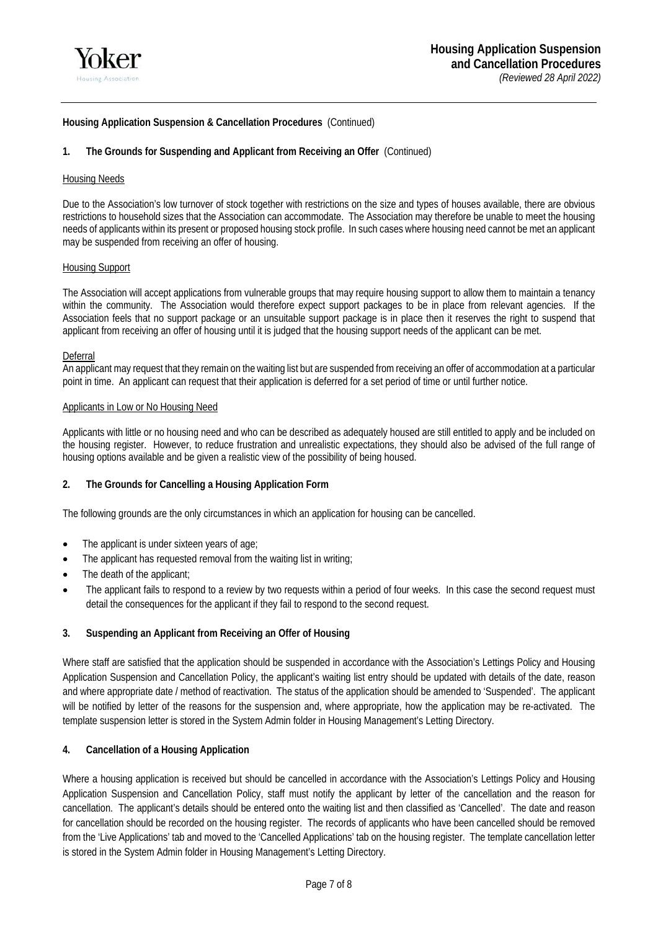

# **1. The Grounds for Suspending and Applicant from Receiving an Offer** (Continued)

## Housing Needs

Due to the Association's low turnover of stock together with restrictions on the size and types of houses available, there are obvious restrictions to household sizes that the Association can accommodate. The Association may therefore be unable to meet the housing needs of applicants within its present or proposed housing stock profile. In such cases where housing need cannot be met an applicant may be suspended from receiving an offer of housing.

## Housing Support

The Association will accept applications from vulnerable groups that may require housing support to allow them to maintain a tenancy within the community. The Association would therefore expect support packages to be in place from relevant agencies. If the Association feels that no support package or an unsuitable support package is in place then it reserves the right to suspend that applicant from receiving an offer of housing until it is judged that the housing support needs of the applicant can be met.

### Deferral

An applicant may request that they remain on the waiting list but are suspended from receiving an offer of accommodation at a particular point in time. An applicant can request that their application is deferred for a set period of time or until further notice.

### Applicants in Low or No Housing Need

Applicants with little or no housing need and who can be described as adequately housed are still entitled to apply and be included on the housing register. However, to reduce frustration and unrealistic expectations, they should also be advised of the full range of housing options available and be given a realistic view of the possibility of being housed.

## **2. The Grounds for Cancelling a Housing Application Form**

The following grounds are the only circumstances in which an application for housing can be cancelled.

- The applicant is under sixteen years of age;
- The applicant has requested removal from the waiting list in writing;
- The death of the applicant;
- The applicant fails to respond to a review by two requests within a period of four weeks. In this case the second request must detail the consequences for the applicant if they fail to respond to the second request.

## **3. Suspending an Applicant from Receiving an Offer of Housing**

Where staff are satisfied that the application should be suspended in accordance with the Association's Lettings Policy and Housing Application Suspension and Cancellation Policy, the applicant's waiting list entry should be updated with details of the date, reason and where appropriate date / method of reactivation. The status of the application should be amended to 'Suspended'. The applicant will be notified by letter of the reasons for the suspension and, where appropriate, how the application may be re-activated. The template suspension letter is stored in the System Admin folder in Housing Management's Letting Directory.

## **4. Cancellation of a Housing Application**

Where a housing application is received but should be cancelled in accordance with the Association's Lettings Policy and Housing Application Suspension and Cancellation Policy, staff must notify the applicant by letter of the cancellation and the reason for cancellation. The applicant's details should be entered onto the waiting list and then classified as 'Cancelled'. The date and reason for cancellation should be recorded on the housing register. The records of applicants who have been cancelled should be removed from the 'Live Applications' tab and moved to the 'Cancelled Applications' tab on the housing register. The template cancellation letter is stored in the System Admin folder in Housing Management's Letting Directory.